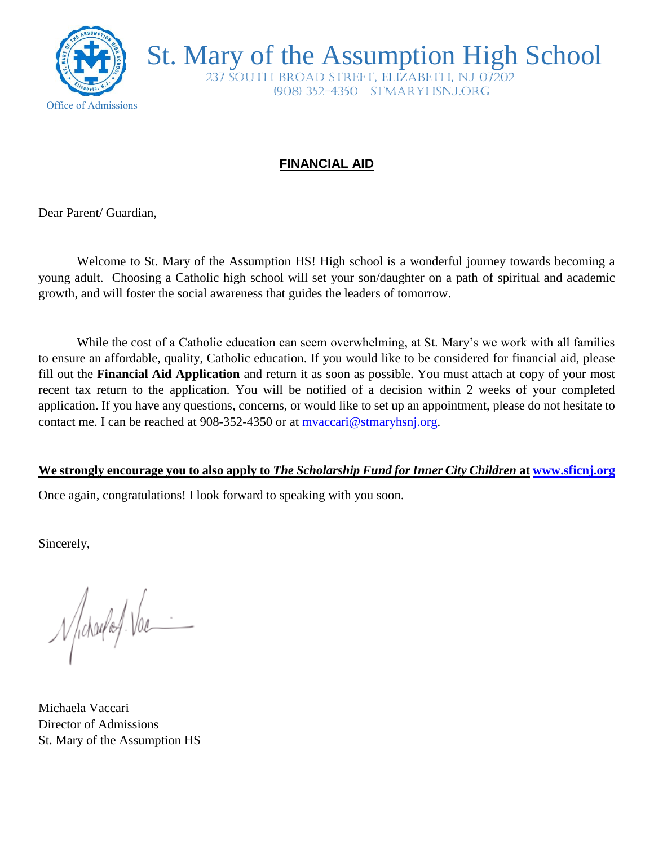

St. Mary of the Assumption High School

 237 South Broad Street, Elizabeth, NJ 07202 (908) 352-4350 stmaryhsnj.org

## **FINANCIAL AID**

Dear Parent/ Guardian,

Welcome to St. Mary of the Assumption HS! High school is a wonderful journey towards becoming a young adult. Choosing a Catholic high school will set your son/daughter on a path of spiritual and academic growth, and will foster the social awareness that guides the leaders of tomorrow.

While the cost of a Catholic education can seem overwhelming, at St. Mary's we work with all families to ensure an affordable, quality, Catholic education. If you would like to be considered for financial aid, please fill out the **Financial Aid Application** and return it as soon as possible. You must attach at copy of your most recent tax return to the application. You will be notified of a decision within 2 weeks of your completed application. If you have any questions, concerns, or would like to set up an appointment, please do not hesitate to contact me. I can be reached at 908-352-4350 or at [mvaccari@stmaryhsnj.org.](mailto:mvaccari@stmaryhsnj.org)

## **We strongly encourage you to also apply to** *The Scholarship Fund for Inner City Children* **at [www.sficnj.org](http://www.sficnj.org/)**

Once again, congratulations! I look forward to speaking with you soon.

Sincerely,

Nichardaf. Vac

Michaela Vaccari Director of Admissions St. Mary of the Assumption HS